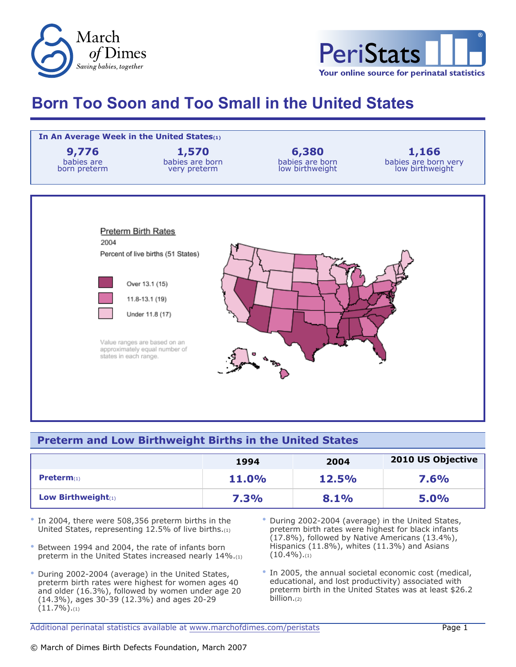



## **Born Too Soon and Too Small in the United States**



## **Preterm and Low Birthweight Births in the United States**

|                       | 1994         | 2004  | 2010 US Objective |
|-----------------------|--------------|-------|-------------------|
| <b>Preterm</b> $(1)$  | <b>11.0%</b> | 12.5% | <b>7.6%</b>       |
| Low Birthweight $(1)$ | <b>7.3%</b>  | 8.1%  | 5.0%              |

- In 2004, there were 508,356 preterm births in the United States, representing 12.5% of live births.(1)
- Between 1994 and 2004, the rate of infants born preterm in the United States increased nearly 14%.(1)
- During 2002-2004 (average) in the United States, preterm birth rates were highest for women ages 40 and older (16.3%), followed by women under age 20 (14.3%), ages 30-39 (12.3%) and ages 20-29  $(11.7\%)$ .(1)
- During 2002-2004 (average) in the United States, preterm birth rates were highest for black infants (17.8%), followed by Native Americans (13.4%), Hispanics (11.8%), whites (11.3%) and Asians  $(10.4\%)$ .(1)
- In 2005, the annual societal economic cost (medical, educational, and lost productivity) associated with preterm birth in the United States was at least \$26.2 billion.(2)

Additional perinatal statistics available at [www.marchofdimes.com/peristats](http://www.marchofdimes.com/peristats) Theorem 2012 1998 1